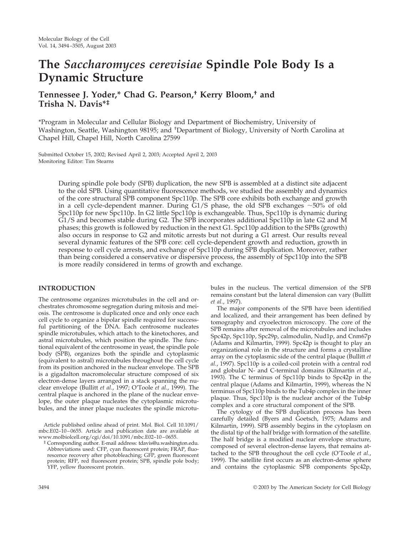# **The** *Saccharomyces cerevisiae* **Spindle Pole Body Is a Dynamic Structure**

## **Tennessee J. Yoder,\* Chad G. Pearson,† Kerry Bloom,† and Trisha N. Davis\*‡**

\*Program in Molecular and Cellular Biology and Department of Biochemistry, University of Washington, Seattle, Washington 98195; and <sup>+</sup>Department of Biology, University of North Carolina at Chapel Hill, Chapel Hill, North Carolina 27599

Submitted October 15, 2002; Revised April 2, 2003; Accepted April 2, 2003 Monitoring Editor: Tim Stearns

> During spindle pole body (SPB) duplication, the new SPB is assembled at a distinct site adjacent to the old SPB. Using quantitative fluorescence methods, we studied the assembly and dynamics of the core structural SPB component Spc110p. The SPB core exhibits both exchange and growth in a cell cycle-dependent manner. During G1/S phase, the old SPB exchanges  $\sim$  50% of old Spc110p for new Spc110p. In G2 little Spc110p is exchangeable. Thus, Spc110p is dynamic during G1/S and becomes stable during G2. The SPB incorporates additional Spc110p in late G2 and M phases; this growth is followed by reduction in the next G1. Spc110p addition to the SPBs (growth) also occurs in response to G2 and mitotic arrests but not during a G1 arrest. Our results reveal several dynamic features of the SPB core: cell cycle-dependent growth and reduction, growth in response to cell cycle arrests, and exchange of Spc110p during SPB duplication. Moreover, rather than being considered a conservative or dispersive process, the assembly of Spc110p into the SPB is more readily considered in terms of growth and exchange.

## **INTRODUCTION**

The centrosome organizes microtubules in the cell and orchestrates chromosome segregation during mitosis and meiosis. The centrosome is duplicated once and only once each cell cycle to organize a bipolar spindle required for successful partitioning of the DNA. Each centrosome nucleates spindle microtubules, which attach to the kinetochores, and astral microtubules, which position the spindle. The functional equivalent of the centrosome in yeast, the spindle pole body (SPB), organizes both the spindle and cytoplasmic (equivalent to astral) microtubules throughout the cell cycle from its position anchored in the nuclear envelope. The SPB is a gigadalton macromolecular structure composed of six electron-dense layers arranged in a stack spanning the nuclear envelope (Bullitt *et al.*, 1997; O'Toole *et al.*, 1999). The central plaque is anchored in the plane of the nuclear envelope, the outer plaque nucleates the cytoplasmic microtubules, and the inner plaque nucleates the spindle microtu-

Article published online ahead of print. Mol. Biol. Cell 10.1091/ mbc.E02–10–0655. Article and publication date are available at www.molbiolcell.org/cgi/doi/10.1091/mbc.E02–10–0655.

‡ Corresponding author. E-mail address: tdavis@u.washington.edu. Abbreviations used: CFP, cyan fluorescent protein; FRAP, fluorescence recovery after photobleaching; GFP, green fluorescent protein; RFP, red fluorescent protein; SPB, spindle pole body; YFP, yellow fluorescent protein.

bules in the nucleus. The vertical dimension of the SPB remains constant but the lateral dimension can vary (Bullitt *et al.*, 1997).

The major components of the SPB have been identified and localized, and their arrangement has been defined by tomography and cryoelectron microscopy. The core of the SPB remains after removal of the microtubules and includes Spc42p, Spc110p, Spc29p, calmodulin, Nud1p, and Cnm67p (Adams and Kilmartin, 1999). Spc42p is thought to play an organizational role in the structure and forms a crystalline array on the cytoplasmic side of the central plaque (Bullitt *et al.*, 1997). Spc110p is a coiled-coil protein with a central rod and globular N- and C-terminal domains (Kilmartin *et al.*, 1993). The C terminus of Spc110p binds to Spc42p in the central plaque (Adams and Kilmartin, 1999), whereas the N terminus of Spc110p binds to the Tub4p complex in the inner plaque. Thus, Spc110p is the nuclear anchor of the Tub4p complex and a core structural component of the SPB.

The cytology of the SPB duplication process has been carefully detailed (Byers and Goetsch, 1975; Adams and Kilmartin, 1999). SPB assembly begins in the cytoplasm on the distal tip of the half bridge with formation of the satellite. The half bridge is a modified nuclear envelope structure, composed of several electron-dense layers, that remains attached to the SPB throughout the cell cycle (O'Toole *et al.*, 1999). The satellite first occurs as an electron-dense sphere and contains the cytoplasmic SPB components Spc42p,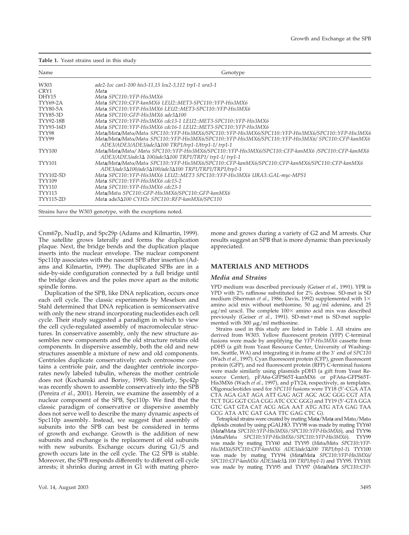| Table 1. Yeast strains used in this study |  |  |  |  |  |  |
|-------------------------------------------|--|--|--|--|--|--|
|-------------------------------------------|--|--|--|--|--|--|

| Name             | Genotype                                                                                                                                                                             |  |  |  |  |  |
|------------------|--------------------------------------------------------------------------------------------------------------------------------------------------------------------------------------|--|--|--|--|--|
| W303             | ade2-1oc can1-100 his3-11,15 leu2-3,112 trp1-1 ura3-1                                                                                                                                |  |  |  |  |  |
| CRY1             | Mata                                                                                                                                                                                 |  |  |  |  |  |
| DHY15            | Mata SPC110::YFP-His3MX6                                                                                                                                                             |  |  |  |  |  |
| <b>TYY69-2A</b>  | Mata SPC110::CFP-kanMX6 LEU2::MET3-SPC110::YFP-His3MX6                                                                                                                               |  |  |  |  |  |
| <b>TYY80-5A</b>  | Mata SPC110::YFP-His3MX6 LEU2::MET3-SPC110::YFP-His3MX6                                                                                                                              |  |  |  |  |  |
| <b>TYY85-3D</b>  | Mata SPC110::GFP-His3MX6 ade3 $\Delta$ 100                                                                                                                                           |  |  |  |  |  |
| <b>TYY92-18B</b> | Mata SPC110::YFP-His3MX6 cdc13-1 LEU2::MET3-SPC110::YFP-His3MX6                                                                                                                      |  |  |  |  |  |
| TYY93-16D        | Mata SPC110::YFP-His3MX6 cdc16-1 LEU2::MET3-SPC110::YFP-His3MX6                                                                                                                      |  |  |  |  |  |
| TYY98            | Mata/Mata/Mata/Mata SPC110::YFP-His3MX6/SPC110::YFP-His3MX6/SPC110::YFP-His3MX6/SPC110::YFP-His3MX6                                                                                  |  |  |  |  |  |
| TYY99            | Mata/Mata/Mata/Mata SPC110::YFP-His3MX6/SPC110::YFP-His3MX6/SPC110::YFP-His3MX6/ SPC110::CFP-kanMX6<br>ADE3/ADE3/ADE3/ade3 $\Delta$ 100 TRP1/trp1-1/ttrp1-1/trp1-1                   |  |  |  |  |  |
| <b>TYY100</b>    | Mata/Mata/Matα/ Matα SPC110::YFP-His3MX6/SPC110::YFP-His3MX6/SPC110::CFP-kanMX6 /SPC110::CFP-kanMX6<br>ADE3/ADE3/ade3 $\Delta$ 100/ade3 $\Delta$ 100 TRP1/TRP1/trp1-1/trp1-1         |  |  |  |  |  |
| TYY101           | Mata/Mata/Mato/Mato SPC110::YFP-His3MX6/SPC110::CFP-kanMX6/SPC110::CFP-kanMX6/SPC110::CFP-kanMX6<br>ADE3/ade3 $\Delta$ 100/ade3 $\Delta$ 100/ade3 $\Delta$ 100 TRP1/TRP1/TRP1/trp1-1 |  |  |  |  |  |
| TYY102-5D        | Mata SPC110::YFP-His3MX6 LEU2::MET3 SPC110::YFP-His3MX6 URA3::GAL-myc-MPS1                                                                                                           |  |  |  |  |  |
| <b>TYY109</b>    | Mata SPC110::YFP-His3MX6 cdc15-2                                                                                                                                                     |  |  |  |  |  |
| <b>TYY110</b>    | Mata SPC110::YFP-His3MX6 cdc23-1                                                                                                                                                     |  |  |  |  |  |
| <b>TYY113</b>    | Mata/Matα SPC110::GFP-His3MX6/SPC110::GFP-kanMX6                                                                                                                                     |  |  |  |  |  |
| <b>TYY115-2D</b> | Mata ade3 $\Delta$ 100 CYH2s SPC110::RFP-kanMX6/SPC110                                                                                                                               |  |  |  |  |  |

Cnm67p, Nud1p, and Spc29p (Adams and Kilmartin, 1999). The satellite grows laterally and forms the duplication plaque. Next, the bridge bends and the duplication plaque inserts into the nuclear envelope. The nuclear component Spc110p associates with the nascent SPB after insertion (Adams and Kilmartin, 1999). The duplicated SPBs are in a side-by-side configuration connected by a full bridge until the bridge cleaves and the poles move apart as the mitotic spindle forms.

Duplication of the SPB, like DNA replication, occurs once each cell cycle. The classic experiments by Meselson and Stahl determined that DNA replication is semiconservative with only the new strand incorporating nucleotides each cell cycle. Their study suggested a paradigm in which to view the cell cycle-regulated assembly of macromolecular structures. In conservative assembly, only the new structure assembles new components and the old structure retains old components. In dispersive assembly, both the old and new structures assemble a mixture of new and old components. Centrioles duplicate conservatively: each centrosome contains a centriole pair, and the daughter centriole incorporates newly labeled tubulin, whereas the mother centriole does not (Kochanski and Borisy, 1990). Similarly, Spc42p was recently shown to assemble conservatively into the SPB (Pereira *et al.*, 2001). Herein, we examine the assembly of a nuclear component of the SPB, Spc110p. We find that the classic paradigm of conservative or dispersive assembly does not serve well to describe the many dynamic aspects of Spc110p assembly. Instead, we suggest that assembly of subunits into the SPB can best be considered in terms of growth and exchange. Growth is the addition of new subunits and exchange is the replacement of old subunits with new subunits. Exchange occurs during G1/S and growth occurs late in the cell cycle. The G2 SPB is stable. Moreover, the SPB responds differently to different cell cycle arrests; it shrinks during arrest in G1 with mating pheromone and grows during a variety of G2 and M arrests. Our results suggest an SPB that is more dynamic than previously appreciated.

#### **MATERIALS AND METHODS**

#### *Media and Strains*

YPD medium was described previously (Geiser *et al.*, 1991). YPR is YPD with 2% raffinose substituted for 2% dextrose. SD-met is SD medium (Sherman *et al.*, 1986; Davis, 1992) supplemented with  $1\times$ amino acid mix without methionine, 50  $\mu$ g/ml adenine, and 25  $\mu$ g/ml uracil. The complete 100 $\times$  amino acid mix was described previously (Geiser et al., 1991). SD-met+met is SD-met supplemented with 300  $\mu$ g/ml methionine.

Strains used in this study are listed in Table 1. All strains are derived from W303. Yellow fluorescent protein (YFP) C-terminal fusions were made by amplifying the *YFP-His3MX6* cassette from pDH5 (a gift from Yeast Resource Center, University of Washington, Seattle, WA) and integrating it in frame at the 3' end of *SPC110* (Wach *et al.*, 1997). Cyan fluorescent protein (CFP), green fluorescent protein (GFP), and red fluorescent protein (RFP) C-terminal fusions were made similarly using plasmids pDH3 (a gift from Yeast Resource Center), pFA6a-GFPS65T-kanMX6 or pFA6a-GFPS65T-His3MX6 (Wach *et al.*, 1997), and pTY24, respectively, as templates. Oligonucleotides used for *SPC110* fusions were TY18 (5-CGA ATA CTA AGA GAT AGA ATT GAG AGT AGC AGC GGG CGT ATA TCT TGG GGT CGA CGG ATC CCC GGG) and TY19 (5'-GTA GGA GTC GAT GTA CAT ACG AGA AAT ATG ATG ATA GAG TAA GCG ATA ATC GAT GAA TTC GAG CTC G).

Tetraploid strains were created by mating Mat**a**/Mat**a** and Matα/Matα diploids created by using pGALHO. TYY98 was made by mating TYY60 (*Mat***a/***Mat***a** *SPC110::YFP-His3MX6*/*SPC110::YFP-His3MX6*), and TYY96 (*Ma*t-**/***Mat*- *SPC110::YFP-His3MX6*/*SPC110::YFP-His3MX6*). TYY99 was made by mating TYY60 and TYY95 (*Matα/Matα SPC110::YFP-His3MX6/SPC110::CFP-kanMX6 ADE3/ade3100 TRP1/trp1-1*). TYY100 was made by mating TYY94 (*Mat***a/***Mat***a** *SPC110::YFP-His3MX6/ SPC110::CFP-kanMX6 ADE3/ade3 100 TRP1/trp1-1*) and TYY95. TYY101 was made by mating TYY95 and TYY97 (*Mat***a/***Mat***a** *SPC110::CFP-*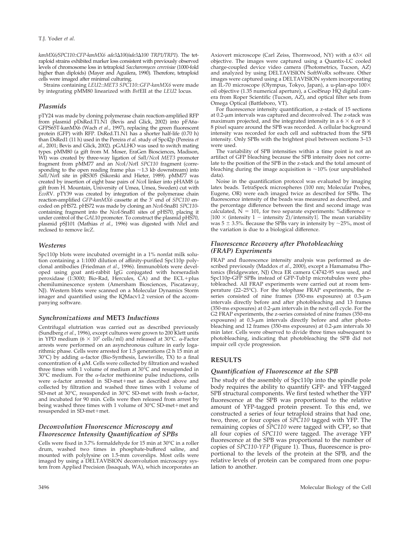*kanMX6/SPC110::CFP-kanMX6 ade3100/ade3100 TRP1/TRP1*). The tetraploid strains exhibited marker loss consistent with previously observed levels of chromosome loss in tetraploid *Saccharomyces cerevisiae* (1000-fold higher than diploids) (Mayer and Aguilera, 1990). Therefore, tetraploid cells were imaged after minimal culturing.

Strains containing *LEU2::MET3 SPC110::GFP-kanMX6* were made by integrating pMM80 linearized with *Bst*EII at the *LEU2* locus.

#### *Plasmids*

pTY24 was made by cloning polymerase chain reaction-amplified RFP from plasmid pDsRed.T1.N1 (Bevis and Glick, 2002) into pFA6a-GFPS65T-kanMX6 (Wach *et al.*, 1997), replacing the green fluorescent protein (GFP) with RFP. DsRed.T1.N1 has a shorter half-life (0.70 h) than DsRed1 (11 h) used in the Pereira *et al.* study of Spc42p (Pereira *et al.*, 2001; Bevis and Glick, 2002). pGALHO was used to switch mating types. pMM80 (a gift from M. Moser, EraGen Biosciences, Madison, WI) was created by three-way ligation of *Sal*I/*Nco*I *MET3* promoter fragment from pMM77 and an *Nco*I/*Not*I *SPC110* fragment (corresponding to the open reading frame plus  $\sim$  1.3 kb downstream) into *Sal*I/*Not*I site in pRS305 (Sikorski and Hieter, 1989). pMM77 was created by insertion of eight base pairs of *Nco*I linker into pHAM8 (a gift from H. Mountain, University of Umea, Umea, Sweden) cut with *EcoR*V. pTY39 was created by integration of the polymerase chain reaction-amplified *GFP-kanMX6* cassette at the 3' end of *SPC110* encoded on pHS72. pHS72 was made by cloning an *Nco*I-SnaB1 *SPC110* containing fragment into the *Nco*I-SnaB1 sites of pHS70, placing it under control of the *GAL*10 promoter. To construct the plasmid pHS70, plasmid pSJ101 (Mathias *et al.*, 1996) was digested with *Nhe*I and reclosed to remove *lacZ*.

#### *Westerns*

Spc110p blots were incubated overnight in a 1% nonfat milk solution containing a 1:1000 dilution of affinity-purified Spc110p polyclonal antibodies (Friedman *et al.*, 1996). Immunoblots were developed using goat anti-rabbit IgG conjugated with horseradish  $peroxidase$  (1:3000; Bio-Rad, Hercules, CA) and the ECL+plus chemiluminescence system (Amersham Biosciences, Piscataway, NJ). Western blots were scanned on a Molecular Dynamics Storm imager and quantified using the IQMacv1.2 version of the accompanying software.

#### *Synchronizations and* **MET3** *Inductions*

Centrifugal elutriation was carried out as described previously (Sundberg *et al.*, 1996), except cultures were grown to 200 Klett units in YPD medium ( $6 \times 10^7$  cells/ml) and released at 30°C.  $\alpha$ -Factor arrests were performed on an asynchronous culture in early logarithmic phase. Cells were arrested for 1.5 generations (2 h 15 min at 30°C) by adding  $\alpha$ -factor (Bio-Synthesis, Lewisville, TX) to a final concentration of 4  $\mu$ M. Cells were collected by filtration and washed three times with 1 volume of medium at  $30^{\circ}$ C and resuspended in 30°C medium. For the  $\alpha$ -factor methionine pulse inductions, cells were  $\alpha$ -factor arrested in SD-met+met as described above and collected by filtration and washed three times with 1 volume of SD-met at 30°C, resuspended in 30°C SD-met with fresh  $\alpha$ -factor, and incubated for 90 min. Cells were then released from arrest by being washed three times with 1 volume of 30°C SD-met+met and resuspended in SD-met+met.

## *Deconvolution Fluorescence Microscopy and Fluorescence Intensity Quantification of SPBs*

Cells were fixed in 3.7% formaldehyde for 15 min at 30°C in a roller drum, washed two times in phosphate-buffered saline, and mounted with polylysine on 1.5-mm coverslips. Most cells were imaged by using a DELTAVISION deconvolution microscopy system from Applied Precision (Issaquah, WA), which incorporates an

Axiovert microscope (Carl Zeiss, Thornwood, NY) with a 63× oil objective. The images were captured using a Quantix-LC cooled charge-coupled device video camera (Photometrics, Tucson, AZ) and analyzed by using DELTAVISION SoftWoRx software. Other images were captured using a DELTAVISION system incorporating an IL-70 microscope (Olympus, Tokyo, Japan), a u-plan-apo 100 oil objective (1.35 numerical aperture), a CoolSnap HQ digital camera from Roper Scientific (Tucson, AZ), and optical filter sets from Omega Optical (Battleboro, VT).

For fluorescence intensity quantification, a z-stack of 15 sections at  $0.2$ - $\mu$ m intervals was captured and deconvolved. The z-stack was maximum projected, and the integrated intensity in a 6  $\times$  6 or 8  $\times$ 8 pixel square around the SPB was recorded. A cellular background intensity was recorded for each cell and subtracted from the SPB intensity. Only SPBs with the brightest pixel between sections 3–13 were used.

The variability of SPB intensities within a time point is not an artifact of GFP bleaching because the SPB intensity does not correlate to the position of the SPB in the z-stack and the total amount of bleaching during the image acquisition is  $\sim$ 10% (our unpublished data).

Noise in the quantification protocol was evaluated by imaging latex beads. TetraSpeck microspheres (100 nm; Molecular Probes, Eugene, OR) were each imaged twice as described for SPBs. The fluorescence intensity of the beads was measured as described, and the percentage difference between the first and second image was calculated,  $\overline{N} = 101$ , for two separate experiments: %difference =  $|100 \times$  (intensity 1 – intensity 2)/intensity1. The mean variability was  $5 \pm 3.5$ %. Because the SPBs vary in intensity by  $\sim$ 25%, most of the variation is due to a biological difference.

#### *Fluorescence Recovery after Photobleaching (FRAP) Experiments*

FRAP and fluorescence intensity analysis was performed as described previously (Maddox *et al.*, 2000), except a Hamamatsu Photonics (Bridgewater, NJ) Orca ER camera C4742-95 was used, and Spc110p-GFP SPBs instead of GFP-Tub1p microtubules were photobleached. All FRAP experiments were carried out at room temperature (22–25°C). For the telophase FRAP experiments, the zseries consisted of nine frames (350-ms exposures) at  $0.3$ - $\mu$ m intervals directly before and after photobleaching and 13 frames (350-ms exposures) at  $0.2$ - $\mu$ m intervals in the next cell cycle. For the G2 FRAP experiments, the z-series consisted of nine frames (350-ms exposures) at  $0.3$ - $\mu$ m intervals directly before and after photobleaching and 12 frames (350-ms exposures) at  $0.2$ - $\mu$ m intervals 30 min later. Cells were observed to divide three times subsequent to photobleaching, indicating that photobleaching the SPB did not impair cell cycle progression.

## **RESULTS**

## *Quantification of Fluorescence at the SPB*

The study of the assembly of Spc110p into the spindle pole body requires the ability to quantify GFP- and YFP-tagged SPB structural components. We first tested whether the YFP fluorescence at the SPB was proportional to the relative amount of YFP-tagged protein present. To this end, we constructed a series of four tetraploid strains that had one, two, three, or four copies of *SPC110* tagged with YFP. The remaining copies of *SPC110* were tagged with CFP, so that all four copies of *SPC110* were tagged. The average YFP fluorescence at the SPB was proportional to the number of copies of *SPC110-YFP* (Figure 1). Thus, fluorescence is proportional to the levels of the protein at the SPB, and the relative levels of protein can be compared from one population to another.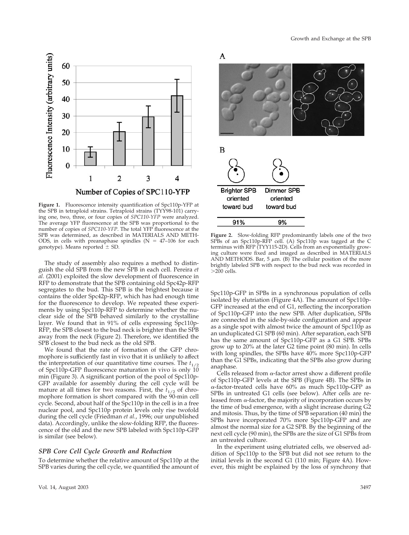

**Figure 1.** Fluorescence intensity quantification of Spc110p-YFP at the SPB in tetraploid strains. Tetraploid strains (TYY98-101) carrying one, two, three, or four copies of *SPC110-YFP* were analyzed. The average YFP fluorescence at the SPB was proportional to the number of copies of *SPC110-YFP*. The total YFP fluorescence at the SPB was determined, as described in MATERIALS AND METH-ODS, in cells with preanaphase spindles ( $N = 47-106$  for each genotype). Means reported  $\pm$  SD.

The study of assembly also requires a method to distinguish the old SPB from the new SPB in each cell. Pereira *et al.* (2001) exploited the slow development of fluorescence in RFP to demonstrate that the SPB containing old Spc42p-RFP segregates to the bud. This SPB is the brightest because it contains the older Spc42p-RFP, which has had enough time for the fluorescence to develop. We repeated these experiments by using Spc110p-RFP to determine whether the nuclear side of the SPB behaved similarly to the crystalline layer. We found that in 91% of cells expressing Spc110p-RFP, the SPB closest to the bud neck is brighter than the SPB away from the neck (Figure 2). Therefore, we identified the SPB closest to the bud neck as the old SPB.

We found that the rate of formation of the GFP chromophore is sufficiently fast in vivo that it is unlikely to affect the interpretation of our quantitative time courses. The  $t_{1/2}$ of Spc110p-GFP fluorescence maturation in vivo is only 10 min (Figure 3). A significant portion of the pool of Spc110p-GFP available for assembly during the cell cycle will be mature at all times for two reasons. First, the  $t_{1/2}$  of chromophore formation is short compared with the 90-min cell cycle. Second, about half of the Spc110p in the cell is in a free nuclear pool, and Spc110p protein levels only rise twofold during the cell cycle (Friedman *et al.*, 1996; our unpublished data). Accordingly, unlike the slow-folding RFP, the fluorescence of the old and the new SPB labeled with Spc110p-GFP is similar (see below).

#### *SPB Core Cell Cycle Growth and Reduction*

To determine whether the relative amount of Spc110p at the SPB varies during the cell cycle, we quantified the amount of



**Figure 2.** Slow-folding RFP predominantly labels one of the two SPBs of an Spc110p-RFP cell. (A) Spc110p was tagged at the C terminus with RFP (TYY115-2D). Cells from an exponentially growing culture were fixed and imaged as described in MATERIALS AND METHODS. Bar, 5  $\mu$ m. (B) The cellular position of the more brightly labeled SPB with respect to the bud neck was recorded in  $>$ 200 cells.

Spc110p-GFP in SPBs in a synchronous population of cells isolated by elutriation (Figure 4A). The amount of Spc110p-GFP increased at the end of G1, reflecting the incorporation of Spc110p-GFP into the new SPB. After duplication, SPBs are connected in the side-by-side configuration and appear as a single spot with almost twice the amount of Spc110p as an unduplicated G1 SPB (60 min). After separation, each SPB has the same amount of Spc110p-GFP as a G1 SPB. SPBs grow up to 20% at the later G2 time point (80 min). In cells with long spindles, the SPBs have 40% more Spc110p-GFP than the G1 SPBs, indicating that the SPBs also grow during anaphase.

Cells released from  $\alpha$ -factor arrest show a different profile of Spc110p-GFP levels at the SPB (Figure 4B). The SPBs in --factor-treated cells have 60% as much Spc110p-GFP as SPBs in untreated G1 cells (see below). After cells are released from  $\alpha$ -factor, the majority of incorporation occurs by the time of bud emergence, with a slight increase during G2 and mitosis. Thus, by the time of SPB separation (40 min) the SPBs have incorporated 70% more Spc110p-GFP and are almost the normal size for a G2 SPB. By the beginning of the next cell cycle (90 min), the SPBs are the size of G1 SPBs from an untreated culture.

In the experiment using elutriated cells, we observed addition of Spc110p to the SPB but did not see return to the initial levels in the second G1 (110 min; Figure 4A). However, this might be explained by the loss of synchrony that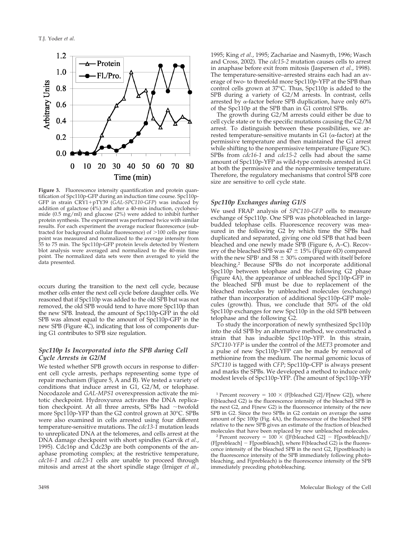

**Figure 3.** Fluorescence intensity quantification and protein quantification of Spc110p-GFP during an induction time course. Spc110p-GFP in strain CRY1+pTY39 (GAL-SPC110-GFP) was induced by addition of galactose  $(4%)$  and after a 40-min induction, cycloheximide (0.5 mg/ml) and glucose (2%) were added to inhibit further protein synthesis. The experiment was performed twice with similar results. For each experiment the average nuclear fluorescence (subtracted for background cellular fluorescence) of  $>100$  cells per time point was measured and normalized to the average intensity from 55 to 75 min. The Spc110p-GFP protein levels detected by Western blot analysis were averaged and normalized to the 40-min time point. The normalized data sets were then averaged to yield the data presented.

occurs during the transition to the next cell cycle, because mother cells enter the next cell cycle before daughter cells. We reasoned that if Spc110p was added to the old SPB but was not removed, the old SPB would tend to have more Spc110p than the new SPB. Instead, the amount of Spc110p-GFP in the old SPB was almost equal to the amount of Spc110p-GFP in the new SPB (Figure 4C), indicating that loss of components during G1 contributes to SPB size regulation.

## *Spc110p Is Incorporated into the SPB during Cell Cycle Arrests in G2/M*

We tested whether SPB growth occurs in response to different cell cycle arrests, perhaps representing some type of repair mechanism (Figure 5, A and B). We tested a variety of conditions that induce arrest in G1, G2/M, or telophase. Nocodazole and *GAL-MPS1* overexpression activate the mitotic checkpoint. Hydroxyurea activates the DNA replication checkpoint. At all three arrests, SPBs had  $\sim$ twofold more Spc110p-YFP than the G2 control grown at 30°C. SPBs were also examined in cells arrested using four different temperature-sensitive mutations. The *cdc13-1* mutation leads to unreplicated DNA at the telomeres, and cells arrest at the DNA damage checkpoint with short spindles (Garvik *et al.*, 1995). Cdc16p and Cdc23p are both components of the anaphase promoting complex; at the restrictive temperature, *cdc16-1* and *cdc23-1* cells are unable to proceed through mitosis and arrest at the short spindle stage (Irniger *et al.*,

1995; King *et al.*, 1995; Zachariae and Nasmyth, 1996; Wasch and Cross, 2002). The *cdc15-2* mutation causes cells to arrest in anaphase before exit from mitosis (Jaspersen *et al.*, 1998). The temperature-sensitive–arrested strains each had an average of two- to threefold more Spc110p-YFP at the SPB than control cells grown at 37°C. Thus, Spc110p is added to the SPB during a variety of G2/M arrests. In contrast, cells arrested by  $\alpha$ -factor before SPB duplication, have only 60% of the Spc110p at the SPB than in G1 control SPBs.

The growth during G2/M arrests could either be due to cell cycle state or to the specific mutations causing the G2/M arrest. To distinguish between these possibilities, we arrested temperature-sensitive mutants in G1 ( $\alpha$ -factor) at the permissive temperature and then maintained the G1 arrest while shifting to the nonpermissive temperature (Figure 5C). SPBs from *cdc16-1* and *cdc15-2* cells had about the same amount of Spc110p-YFP as wild-type controls arrested in G1 at both the permissive and the nonpermissive temperature. Therefore, the regulatory mechanisms that control SPB core size are sensitive to cell cycle state.

#### *Spc110p Exchanges during G1/S*

We used FRAP analysis of *SPC110-GFP* cells to measure exchange of Spc110p. One SPB was photobleached in largebudded telophase cells. Fluorescence recovery was measured in the following G2 by which time the SPBs had duplicated and separated, giving one old SPB that had been bleached and one newly made SPB (Figure 6, A–C). Recovery of the bleached SPB was  $47 \pm 15\%$  (Figure 6D) compared with the new SPB<sup>1</sup> and 58  $\pm$  30% compared with itself before bleaching.2 Because SPBs do not incorporate additional Spc110p between telophase and the following G2 phase (Figure 4A), the appearance of unbleached Spc110p-GFP in the bleached SPB must be due to replacement of the bleached molecules by unbleached molecules (exchange) rather than incorporation of additional Spc110p-GFP molecules (growth). Thus, we conclude that 50% of the old Spc110p exchanges for new Spc110p in the old SPB between telophase and the following G2.

To study the incorporation of newly synthesized Spc110p into the old SPB by an alternative method, we constructed a strain that has inducible Spc110p-YFP. In this strain, *SPC110-YFP* is under the control of the *MET3* promoter and a pulse of new Spc110p-YFP can be made by removal of methionine from the medium. The normal genomic locus of *SPC110* is tagged with *CFP*; Spc110p-CFP is always present and marks the SPBs. We developed a method to induce only modest levels of Spc110p-YFP. (The amount of Spc110p-YFP

<sup>1</sup> Percent recovery =  $100 \times$  (F[bleached G2]/F[new G2]), where F(bleached G2) is the fluorescence intensity of the bleached SPB in the next G2, and F(new G2) is the fluorescence intensity of the new SPB in G2. Since the two SPBs in G2 contain on average the same amount of Spc 100p (Fig. 4A), the fluorescence of the bleached SPB relative to the new SPB gives an estimate of the fraction of bleached molecules that have been replaced by new unbleached molecules.

molecules that have been replaced by new unbleached molecules.<br><sup>2</sup> Percent recovery =  $100 \times ([F(bleached G2] - F[postbleach])/$  $(F[prebleach] - F[postbleach]),$  where  $F[bleached G2)$  is the fluorescence intensity of the bleached SPB in the next G2, F(postbleach) is the fluorescence intensity of the SPB immediately following photobleaching, and F(prebleach) is the fluorescence intensity of the SPB immediately preceding photobleaching.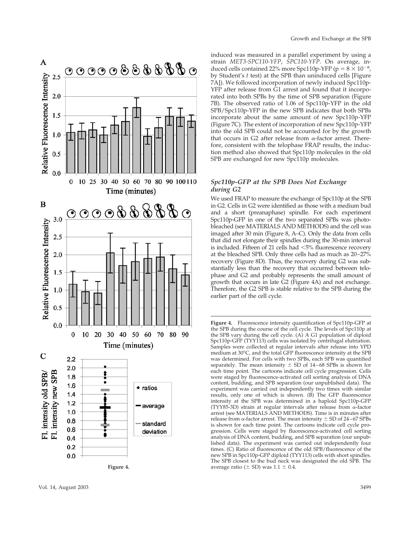

induced was measured in a parallel experiment by using a strain *MET3-SPC110-YFP* , *SPC110-YFP*. On average, induced cells contained 22% more Spc110p-YFP (p =  $8 \times 10^{-8}$ , by Student's t test) at the SPB than uninduced cells [Figure 7A]). We followed incorporation of newly induced Spc110p-YFP after release from G1 arrest and found that it incorporated into both SPBs by the time of SPB separation (Figure 7B). The observed ratio of 1.06 of Spc110p-YFP in the old SPB/Spc110p-YFP in the new SPB indicates that both SPBs incorporate about the same amount of new Spc110p-YFP (Figure 7C). The extent of incorporation of new Spc110p-YFP into the old SPB could not be accounted for by the growth that occurs in G2 after release from  $\alpha$ -factor arrest. Therefore, consistent with the telophase FRAP results, the induction method also showed that Spc110p molecules in the old SPB are exchanged for new Spc110p molecules.

## *Spc110p-GFP at the SPB Does Not Exchange during G2*

We used FRAP to measure the exchange of Spc110p at the SPB in G2. Cells in G2 were identi fied as those with a medium bud and a short (preanaphase) spindle. For each experiment Spc110p-GFP in one of the two separated SPBs was photobleached (see MATERIALS AND METHODS) and the cell was imaged after 30 min (Figure 8, A –C). Only the data from cells that did not elongate their spindles during the 30-min interval is included. Fifteen of 21 cells had <5% fluorescence recovery at the bleached SPB. Only three cells had as much as 20 –27% recovery (Figure 8D). Thus, the recovery during G2 was substantially less than the recovery that occurred between telophase and G2 and probably represents the small amount of growth that occurs in late G2 (Figure 4A) and not exchange. Therefore, the G2 SPB is stable relative to the SPB during the earlier part of the cell cycle.

**Figure 4.** Fluorescence intensity quanti fication of Spc110p-GFP at the SPB during the course of the cell cycle. The levels of Spc110p at the SPB vary during the cell cycle. (A) A G1 population of diploid Spc110p-GFP (TYY113) cells was isolated by centrifugal elutriation. Samples were collected at regular intervals after release into YPD medium at 30 °C, and the total GFP fluorescence intensity at the SPB was determined. For cells with two SPBs, each SPB was quanti fied separately. The mean intensity  $\pm$  SD of 14–68 SPBs is shown for each time point. The cartoons indicate cell cycle progression. Cells were staged by fluorescence-activated cell sorting analysis of DNA content, budding, and SPB separation (our unpublished data). The experiment was carried out independently two times with similar results, only one of which is shown. (B) The GFP fluorescence intensity at the SPB was determined in a haploid Spc110p-GFP (TYY85-3D) strain at regular intervals after release from  $\alpha$ -factor arrest (see MATERIALS AND METHODS). Time is in minutes after release from  $\alpha$ -factor arrest. The mean intensity  $\pm$  SD of 24–67 SPBs is shown for each time point. The cartoons indicate cell cycle progression. Cells were staged by fluorescence-activated cell sorting analysis of DNA content, budding, and SPB separation (our unpublished data). The experiment was carried out independently four times. (C) Ratio of fluorescence of the old SPB/ fluorescence of the new SPB in Spc110p-GFP diploid (TYY113) cells with short spindles. The SPB closest to the bud neck was designated the old SPB. The average ratio ( $\pm$  SD) was  $1.1 \pm 0.4$ .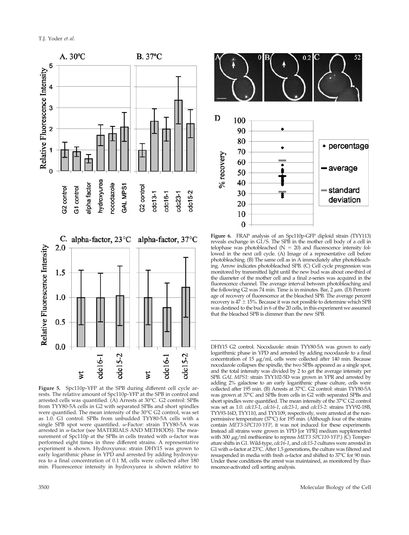

**Figure 5.** Spc110p-YFP at the SPB during different cell cycle arrests. The relative amount of Spc110p-YFP at the SPB in control and arrested cells was quantified. (A) Arrests at 30°C. G2 control: SPBs from TYY80-5A cells in G2 with separated SPBs and short spindles were quantified. The mean intensity of the 30°C G2 control, was set as 1.0. G1 control: SPBs from unbudded TYY80-5A cells with a single SPB spot were quantified.  $\alpha$ -Factor: strain TYY80-5A was arrested in  $\alpha$ -factor (see MATERIALS AND METHODS). The measurement of Spc110p at the SPBs in cells treated with  $\alpha$ -factor was performed eight times in three different strains. A representative experiment is shown. Hydroxyurea: strain DHY15 was grown to early logarithmic phase in YPD and arrested by adding hydroxyurea to a final concentration of 0.1 M, cells were collected after 180 min. Fluorescence intensity in hydroxyurea is shown relative to



**Figure 6.** FRAP analysis of an Spc110p-GFP diploid strain (TYY113) reveals exchange in G1/S. The SPB in the mother cell body of a cell in telophase was photobleached  $(N = 20)$  and fluorescence intensity followed in the next cell cycle. (A) Image of a representative cell before photobleaching. (B) The same cell as in A immediately after photobleaching. Arrow indicates photobleached SPB. (C) Cell cycle progression was monitored by transmitted light until the new bud was about one-third of the diameter of the mother cell and a final z-series was acquired in the fluorescence channel. The average interval between photobleaching and the following G2 was 74 min. Time is in minutes. Bar,  $2 \mu m$ . (D) Percentage of recovery of fluorescence at the bleached SPB. The average percent recovery is  $47 \pm 15$ %. Because it was not possible to determine which SPB was destined to the bud in 6 of the 20 cells, in this experiment we assumed that the bleached SPB is dimmer than the new SPB.

DHY15 G2 control. Nocodazole: strain TYY80-5A was grown to early logarithmic phase in YPD and arrested by adding nocodazole to a final concentration of 15  $\mu$ g/ml, cells were collected after 140 min. Because nocodazole collapses the spindle, the two SPBs appeared as a single spot, and the total intensity was divided by 2 to get the average intensity per SPB. *GAL MPS1*: strain TYY102-5D was grown in YPR and arrested by adding 2% galactose to an early logarithmic phase culture, cells were collected after 195 min. (B) Arrests at 37°C. G2 control: strain TYY80-5A was grown at 37°C and SPBs from cells in G2 with separated SPBs and short spindles were quantified. The mean intensity of the 37°C G2 control was set as 1.0. *cdc13-1*, *cdc16-1*, *cdc23-1*, and *cdc15-2*: strains TYY92-18B, TYY93-16D, TYY110, and TYY109, respectively, were arrested at the nonpermissive temperature (37°C) for 195 min. (Although four of the strains contain *MET3-SPC110-YFP*, it was not induced for these experiments. Instead all strains were grown in YPD [or YPR] medium supplemented with 300 μg/ml methionine to repress *MET3 SPC110-YFP*.) (C) Temperature shifts in G1. Wild-type, *cdc16-1*, and *cdc15-2* cultures were arrested in G1 with  $\alpha$ -factor at 23°C. After 1.5 generations, the culture was filtered and resuspended in media with fresh  $\alpha$ -factor and shifted to 37°C for 90 min. Under these conditions the arrest was maintained, as monitored by fluorescence-activated cell sorting analysis.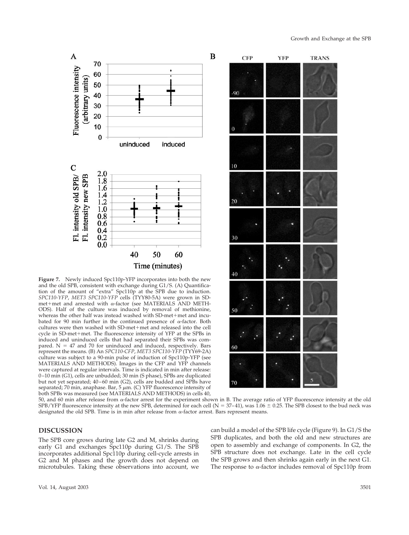



50, and 60 min after release from α-factor arrest for the experiment shown in B. The average ratio of YFP fluorescence intensity at the old SPB/YFP fluorescence intensity at the new SPB, determined for each cell (N = 37–41), was  $1.06 \pm 0.25$ . The SPB closest to the bud neck was designated the old SPB. Time is in min after release from  $\alpha$ -factor arrest. Bars represent means.

B

## **DISCUSSION**

A

Fluorescence intensity

Fl. intensity old SPB/ O

Fl. intensity new SPB

arbitrary units)

70

60

50

2.0

1.8 1.6 1.4

1.2 1.0  $0.8$ 0.6  $0.4$  $0.2$ 

 $0.0$ 

early G1 and exchanges Spc110p during G1/S. The SPB incorporates additional Spc110p during cell-cycle arrests in G2 and M phases and the growth does not depend on microtubules. Taking these observations into account, we

**Figure 7.** Newly induced Spc110p-YFP incorporates into both the new and the old SPB, consistent with exchange during G1/S. (A) Quantification of the amount of "extra" Spc110p at the SPB due to induction. *SPC110-YFP*, *MET3 SPC110-YFP* cells (TYY80-5A) were grown in SD $m$ et+met and arrested with  $\alpha$ -factor (see MATERIALS AND METH-ODS). Half of the culture was induced by removal of methionine, whereas the other half was instead washed with SD-met+met and incubated for 90 min further in the continued presence of  $\alpha$ -factor. Both cultures were then washed with SD-met+met and released into the cell cycle in SD-met+met. The fluorescence intensity of YFP at the SPBs in induced and uninduced cells that had separated their SPBs was compared.  $N = 47$  and 70 for uninduced and induced, respectively. Bars represent the means. (B) An *SPC110-CFP*, *MET3 SPC110-YFP* (TYY69-2A) culture was subject to a 90-min pulse of induction of Spc110p-YFP (see MATERIALS AND METHODS). Images in the CFP and YFP channels were captured at regular intervals. Time is indicated in min after release: 0–10 min (G1), cells are unbudded; 30 min (S phase), SPBs are duplicated but not yet separated; 40–60 min (G2), cells are budded and SPBs have separated; 70 min, anaphase. Bar, 5  $\mu$ m. (C) YFP fluorescence intensity of both SPBs was measured (see MATERIALS AND METHODS) in cells 40,

40

50

Time (minutes)

60

uninduced

induced

can build a model of the SPB life cycle (Figure 9). In G1/S the SPB duplicates, and both the old and new structures are open to assembly and exchange of components. In G2, the SPB structure does not exchange. Late in the cell cycle the SPB grows and then shrinks again early in the next G1. The response to  $\alpha$ -factor includes removal of Spc110p from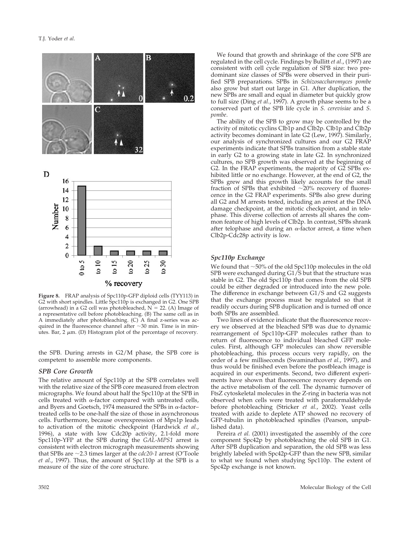

**Figure 8.** FRAP analysis of Spc110p-GFP diploid cells (TYY113) in G2 with short spindles. Little Spc110p is exchanged in G2. One SPB (arrowhead) in a G2 cell was photobleached,  $N = 22$ . (A) Image of a representative cell before photobleaching. (B) The same cell as in A immediately after photobleaching. (C) A final z-series was acquired in the fluorescence channel after  $\sim$ 30 min. Time is in minutes. Bar, 2  $\mu$ m. (D) Histogram plot of the percentage of recovery.

the SPB. During arrests in G2/M phase, the SPB core is competent to assemble more components.

#### *SPB Core Growth*

The relative amount of Spc110p at the SPB correlates well with the relative size of the SPB core measured from electron micrographs. We found about half the Spc110p at the SPB in cells treated with  $\alpha$ -factor compared with untreated cells, and Byers and Goetsch, 1974 measured the SPBs in  $\alpha$ -factor– treated cells to be one-half the size of those in asynchronous cells. Furthermore, because overexpression of Mps1p leads to activation of the mitotic checkpoint (Hardwick *et al.*, 1996), a state with low Cdc20p activity, 2.1-fold more Spc110p-YFP at the SPB during the *GAL-MPS1* arrest is consistent with electron micrograph measurements showing that SPBs are  $\sim$ 2.3 times larger at the *cdc20-1* arrest (O'Toole *et al.*, 1997). Thus, the amount of Spc110p at the SPB is a measure of the size of the core structure.

We found that growth and shrinkage of the core SPB are regulated in the cell cycle. Findings by Bullitt *et al*., (1997) are consistent with cell cycle regulation of SPB size: two predominant size classes of SPBs were observed in their purified SPB preparations. SPBs in *Schizosaccharomyces pombe* also grow but start out large in G1. After duplication, the new SPBs are small and equal in diameter but quickly grow to full size (Ding *et al.*, 1997). A growth phase seems to be a conserved part of the SPB life cycle in *S. cerevisiae* and *S. pombe*.

The ability of the SPB to grow may be controlled by the activity of mitotic cyclins Clb1p and Clb2p. Clb1p and Clb2p activity becomes dominant in late G2 (Lew, 1997). Similarly, our analysis of synchronized cultures and our G2 FRAP experiments indicate that SPBs transition from a stable state in early G2 to a growing state in late G2. In synchronized cultures, no SPB growth was observed at the beginning of G2. In the FRAP experiments, the majority of G2 SPBs exhibited little or no exchange. However, at the end of G2, the SPBs grew and this growth likely accounts for the small fraction of SPBs that exhibited  $\sim$ 20% recovery of fluorescence in the G2 FRAP experiments. SPBs also grew during all G2 and M arrests tested, including an arrest at the DNA damage checkpoint, at the mitotic checkpoint, and in telophase. This diverse collection of arrests all shares the common feature of high levels of Clb2p. In contrast, SPBs shrank after telophase and during an  $\alpha$ -factor arrest, a time when Clb2p-Cdc28p activity is low.

#### *Spc110p Exchange*

We found that  $\sim$  50% of the old Spc110p molecules in the old SPB were exchanged during G1/S but that the structure was stable in G2. The old Spc110p that comes from the old SPB could be either degraded or introduced into the new pole. The difference in exchange between G1/S and G2 suggests that the exchange process must be regulated so that it readily occurs during SPB duplication and is turned off once both SPBs are assembled.

Two lines of evidence indicate that the fluorescence recovery we observed at the bleached SPB was due to dynamic rearrangement of Spc110p-GFP molecules rather than to return of fluorescence to individual bleached GFP molecules. First, although GFP molecules can show reversible photobleaching, this process occurs very rapidly, on the order of a few milliseconds (Swaminathan *et al.*, 1997), and thus would be finished even before the postbleach image is acquired in our experiments. Second, two different experiments have shown that fluorescence recovery depends on the active metabolism of the cell. The dynamic turnover of FtsZ cytoskeletal molecules in the Z-ring in bacteria was not observed when cells were treated with paraformaldehyde before photobleaching (Stricker *et al.*, 2002). Yeast cells treated with azide to deplete ATP showed no recovery of GFP-tubulin in photobleached spindles (Pearson, unpublished data).

Pereira *et al.* (2001) investigated the assembly of the core component Spc42p by photobleaching the old SPB in G1. After SPB duplication and separation, the old SPB was less brightly labeled with Spc42p-GFP than the new SPB, similar to what we found when studying Spc110p. The extent of Spc42p exchange is not known.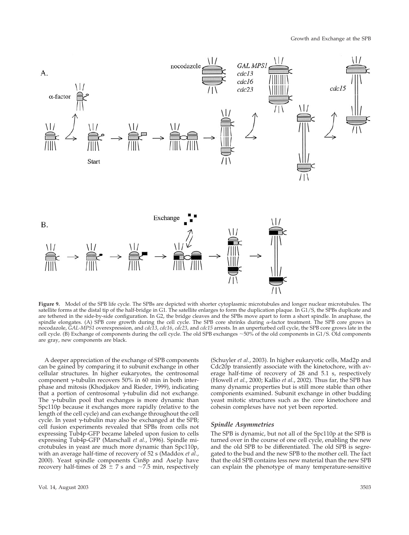

**Figure 9.** Model of the SPB life cycle. The SPBs are depicted with shorter cytoplasmic microtubules and longer nuclear microtubules. The satellite forms at the distal tip of the half-bridge in G1. The satellite enlarges to form the duplication plaque. In G1/S, the SPBs duplicate and are tethered in the side-by-side configuration. In G2, the bridge cleaves and the SPBs move apart to form a short spindle. In anaphase, the spindle elongates. (A) SPB core growth during the cell cycle. The SPB core shrinks during  $\alpha$ -factor treatment. The SPB core grows in nocodazole, *GAL-MPS1* overexpression, and *cdc13*, *cdc16*, *cdc23*, and *cdc15* arrests. In an unperturbed cell cycle, the SPB core grows late in the cell cycle. (B) Exchange of components during the cell cycle. The old SPB exchanges  $\sim$  50% of the old components in G1/S. Old components are gray, new components are black.

A deeper appreciation of the exchange of SPB components can be gained by comparing it to subunit exchange in other cellular structures. In higher eukaryotes, the centrosomal component  $\gamma$ -tubulin recovers 50% in 60 min in both interphase and mitosis (Khodjakov and Rieder, 1999), indicating that a portion of centrosomal  $\gamma$ -tubulin did not exchange. The  $\gamma$ -tubulin pool that exchanges is more dynamic than Spc110p because it exchanges more rapidly (relative to the length of the cell cycle) and can exchange throughout the cell cycle. In yeast  $\gamma$ -tubulin may also be exchanged at the SPB; cell fusion experiments revealed that SPBs from cells not expressing Tub4p-GFP became labeled upon fusion to cells expressing Tub4p-GFP (Marschall *et al.*, 1996). Spindle microtubules in yeast are much more dynamic than Spc110p, with an average half-time of recovery of 52 s (Maddox *et al.*, 2000). Yeast spindle components Cin8p and Ase1p have recovery half-times of  $28 \pm 7$  s and  $\sim$ 7.5 min, respectively (Schuyler *et al.*, 2003). In higher eukaryotic cells, Mad2p and Cdc20p transiently associate with the kinetochore, with average half-time of recovery of 28 and 5.1 s, respectively (Howell *et al.*, 2000; Kallio *et al.*, 2002). Thus far, the SPB has many dynamic properties but is still more stable than other components examined. Subunit exchange in other budding yeast mitotic structures such as the core kinetochore and cohesin complexes have not yet been reported.

#### *Spindle Asymmetries*

The SPB is dynamic, but not all of the Spc110p at the SPB is turned over in the course of one cell cycle, enabling the new and the old SPB to be differentiated. The old SPB is segregated to the bud and the new SPB to the mother cell. The fact that the old SPB contains less new material than the new SPB can explain the phenotype of many temperature-sensitive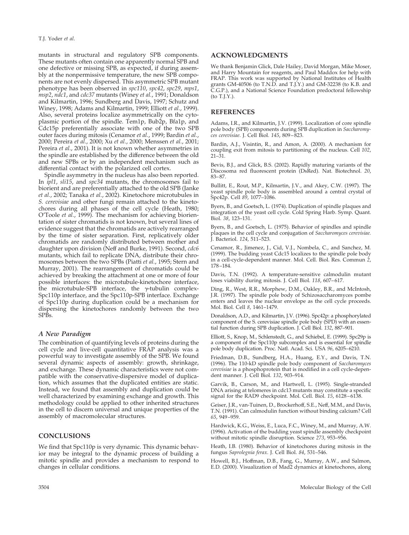mutants in structural and regulatory SPB components. These mutants often contain one apparently normal SPB and one defective or missing SPB, as expected, if during assembly at the nonpermissive temperature, the new SPB components are not evenly dispersed. This asymmetric SPB mutant phenotype has been observed in *spc110*, *spc42*, *spc29*, *mps1*, *msp2*, *ndc1*, and *cdc37* mutants (Winey *et al.*, 1991; Donaldson and Kilmartin, 1996; Sundberg and Davis, 1997; Schutz and Winey, 1998; Adams and Kilmartin, 1999; Elliott *et al.*, 1999). Also, several proteins localize asymmetrically on the cytoplasmic portion of the spindle. Tem1p, Bub2p, Bfa1p, and Cdc15p preferentially associate with one of the two SPB outer faces during mitosis (Cenamor *et al.*, 1999; Bardin *et al.*, 2000; Pereira *et al.*, 2000; Xu *et al.*, 2000; Menssen *et al.*, 2001; Pereira *et al.*, 2001). It is not known whether asymmetries in the spindle are established by the difference between the old and new SPBs or by an independent mechanism such as differential contact with the polarized cell cortex.

Spindle asymmetry in the nucleus has also been reported. In *ipl1*, *sli15*, and *spc34* mutants, the chromosomes fail to biorient and are preferentially attached to the old SPB (Janke *et al.*, 2002; Tanaka *et al.*, 2002). Kinetochore microtubules in *S. cerevisiae* and other fungi remain attached to the kinetochores during all phases of the cell cycle (Heath, 1980; O'Toole *et al.*, 1999). The mechanism for achieving biorientation of sister chromatids is not known, but several lines of evidence suggest that the chromatids are actively rearranged by the time of sister separation. First, replicatively older chromatids are randomly distributed between mother and daughter upon division (Neff and Burke, 1991). Second, *cdc6* mutants, which fail to replicate DNA, distribute their chromosomes between the two SPBs (Piatti *et al.*, 1995; Stern and Murray, 2001). The rearrangement of chromatids could be achieved by breaking the attachment at one or more of four possible interfaces: the microtubule-kinetochore interface, the microtubule-SPB interface, the  $\gamma$ -tubulin complex-Spc110p interface, and the Spc110p-SPB interface. Exchange of Spc110p during duplication could be a mechanism for dispersing the kinetochores randomly between the two SPB<sub>s</sub>.

## *A New Paradigm*

The combination of quantifying levels of proteins during the cell cycle and live-cell quantitative FRAP analysis was a powerful way to investigate assembly of the SPB. We found several dynamic aspects of assembly: growth, shrinkage, and exchange. These dynamic characteristics were not compatible with the conservative-dispersive model of duplication, which assumes that the duplicated entities are static. Instead, we found that assembly and duplication could be well characterized by examining exchange and growth. This methodology could be applied to other inherited structures in the cell to discern universal and unique properties of the assembly of macromolecular structures.

## **CONCLUSIONS**

We find that Spc110p is very dynamic. This dynamic behavior may be integral to the dynamic process of building a mitotic spindle and provides a mechanism to respond to changes in cellular conditions.

## **ACKNOWLEDGMENTS**

We thank Benjamin Glick, Dale Hailey, David Morgan, Mike Moser, and Harry Mountain for reagents, and Paul Maddox for help with FRAP. This work was supported by National Institutes of Health grants GM-40506 (to T.N.D. and T.J.Y.) and GM-32238 (to K.B. and C.G.P.), and a National Science Foundation predoctoral fellowship (to T.J.Y.).

### **REFERENCES**

Adams, I.R., and Kilmartin, J.V. (1999). Localization of core spindle pole body (SPB) components during SPB duplication in *Saccharomyces cerevisiae*. J. Cell Biol. *145*, 809–823.

Bardin, A.J., Visintin, R., and Amon, A. (2000). A mechanism for coupling exit from mitosis to partitioning of the nucleus. Cell *102*, 21–31.

Bevis, B.J., and Glick, B.S. (2002). Rapidly maturing variants of the Discosoma red fluorescent protein (DsRed). Nat. Biotechnol. *20*, 83–87.

Bullitt, E., Rout, M.P., Kilmartin, J.V., and Akey, C.W. (1997). The yeast spindle pole body is assembled around a central crystal of Spc42p. Cell *89*, 1077–1086.

Byers, B., and Goetsch, L. (1974). Duplication of spindle plaques and integration of the yeast cell cycle. Cold Spring Harb. Symp. Quant. Biol. *38*, 123–131.

Byers, B., and Goetsch, L. (1975). Behavior of spindles and spindle plaques in the cell cycle and conjugation of *Saccharomyces cerevisiae.* J. Bacteriol. *124*, 511–523.

Cenamor, R., Jimenez, J., Cid, V.J., Nombela, C., and Sanchez, M. (1999). The budding yeast Cdc15 localizes to the spindle pole body in a cell-cycle-dependent manner. Mol. Cell. Biol. Res. Commun *2*, 178–184.

Davis, T.N. (1992). A temperature-sensitive calmodulin mutant loses viability during mitosis. J. Cell Biol. *118*, 607–617.

Ding, R., West, R.R., Morphew, D.M., Oakley, B.R., and McIntosh, J.R. (1997). The spindle pole body of Schizosaccharomyces pombe enters and leaves the nuclear envelope as the cell cycle proceeds. Mol. Biol. Cell *8*, 1461–1479.

Donaldson, A.D., and Kilmartin, J.V. (1996). Spc42p: a phosphorylated component of the S. cerevisiae spindle pole body (SPD) with an essential function during SPB duplication. J. Cell Biol. *132*, 887–901.

Elliott, S., Knop, M., Schlenstedt, G., and Schiebel, E. (1999). Spc29p is a component of the Spc110p subcomplex and is essential for spindle pole body duplication. Proc. Natl. Acad. Sci. USA *96*, 6205–6210.

Friedman, D.B., Sundberg, H.A., Huang, E.Y., and Davis, T.N. (1996). The 110-kD spindle pole body component of *Saccharomyces cerevisiae* is a phosphoprotein that is modified in a cell cycle-dependent manner. J. Cell Biol. *132*, 903–914.

Garvik, B., Carson, M., and Hartwell, L. (1995). Single-stranded DNA arising at telomeres in cdc13 mutants may constitute a specific signal for the RAD9 checkpoint. Mol. Cell. Biol. *15*, 6128–6138.

Geiser, J.R., van-Tuinen, D., Brockerhoff, S.E., Neff, M.M., and Davis, T.N. (1991). Can calmodulin function without binding calcium? Cell *65*, 949–959.

Hardwick, K.G., Weiss, E., Luca, F.C., Winey, M., and Murray, A.W. (1996). Activation of the budding yeast spindle assembly checkpoint without mitotic spindle disruption. Science *273*, 953–956.

Heath, I.B. (1980). Behavior of kinetochores during mitosis in the fungus *Saprolegnia ferax*. J. Cell Biol. *84*, 531–546.

Howell, B.J., Hoffman, D.B., Fang, G., Murray, A.W., and Salmon, E.D. (2000). Visualization of Mad2 dynamics at kinetochores, along